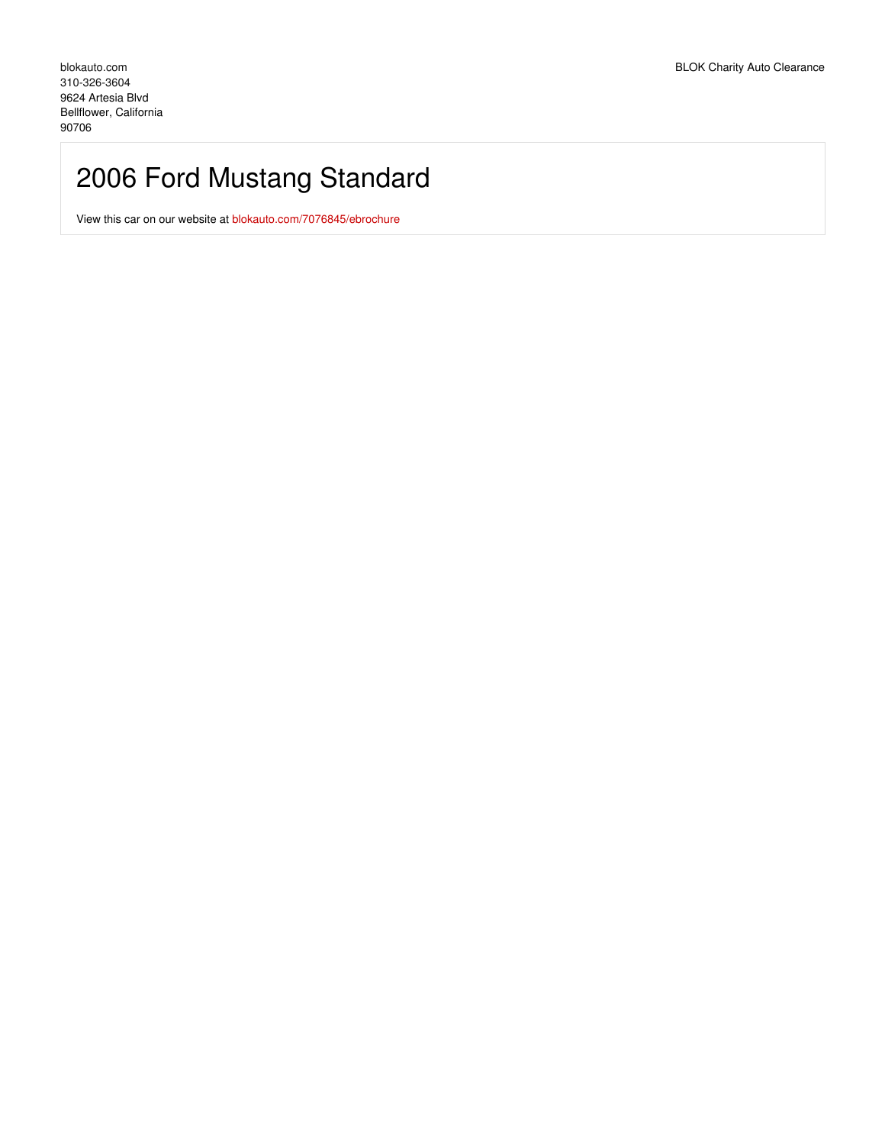# 2006 Ford Mustang Standard

View this car on our website at [blokauto.com/7076845/ebrochure](https://blokauto.com/vehicle/7076845/2006-ford-mustang-standard-bellflower-california-90706/7076845/ebrochure)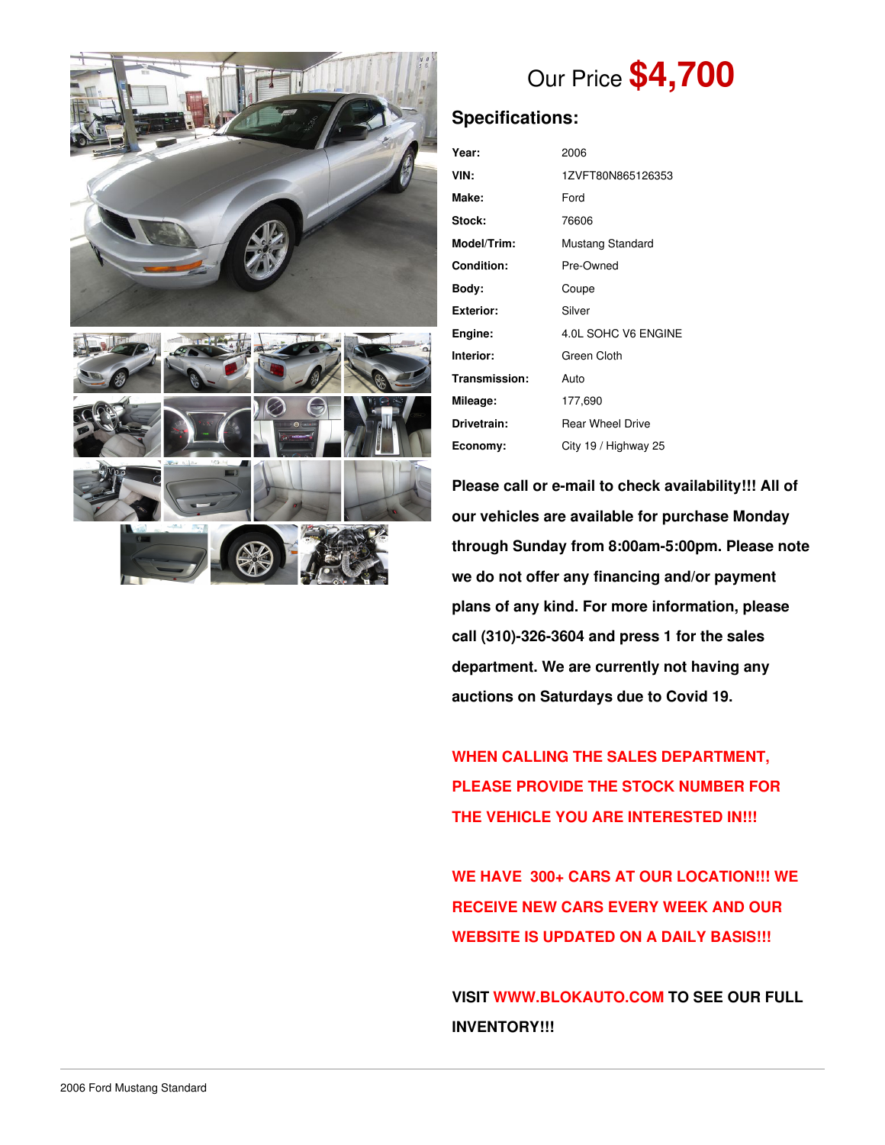



# Our Price **\$4,700**

# **Specifications:**

| Year:         | 2006                    |  |  |
|---------------|-------------------------|--|--|
| VIN:          | 1ZVFT80N865126353       |  |  |
| Make:         | Ford                    |  |  |
| <b>Stock:</b> | 76606                   |  |  |
| Model/Trim:   | Mustang Standard        |  |  |
| Condition:    | Pre-Owned               |  |  |
| Bodv:         | Coupe                   |  |  |
| Exterior:     | Silver                  |  |  |
| Engine:       | 4.0L SOHC V6 ENGINE     |  |  |
| Interior:     | Green Cloth             |  |  |
| Transmission: | Auto                    |  |  |
| Mileage:      | 177,690                 |  |  |
| Drivetrain:   | <b>Rear Wheel Drive</b> |  |  |
| Economy:      | City 19 / Highway 25    |  |  |

**Please call or e-mail to check availability!!! All of our vehicles are available for purchase Monday through Sunday from 8:00am-5:00pm. Please note we do not offer any financing and/or payment plans of any kind. For more information, please call (310)-326-3604 and press 1 for the sales department. We are currently not having any auctions on Saturdays due to Covid 19.**

**WHEN CALLING THE SALES DEPARTMENT, PLEASE PROVIDE THE STOCK NUMBER FOR THE VEHICLE YOU ARE INTERESTED IN!!!**

**WE HAVE 300+ CARS AT OUR LOCATION!!! WE RECEIVE NEW CARS EVERY WEEK AND OUR WEBSITE IS UPDATED ON A DAILY BASIS!!!**

**VISIT [WWW.BLOKAUTO.COM](http://www.blockauto.com) TO SEE OUR FULL INVENTORY!!!**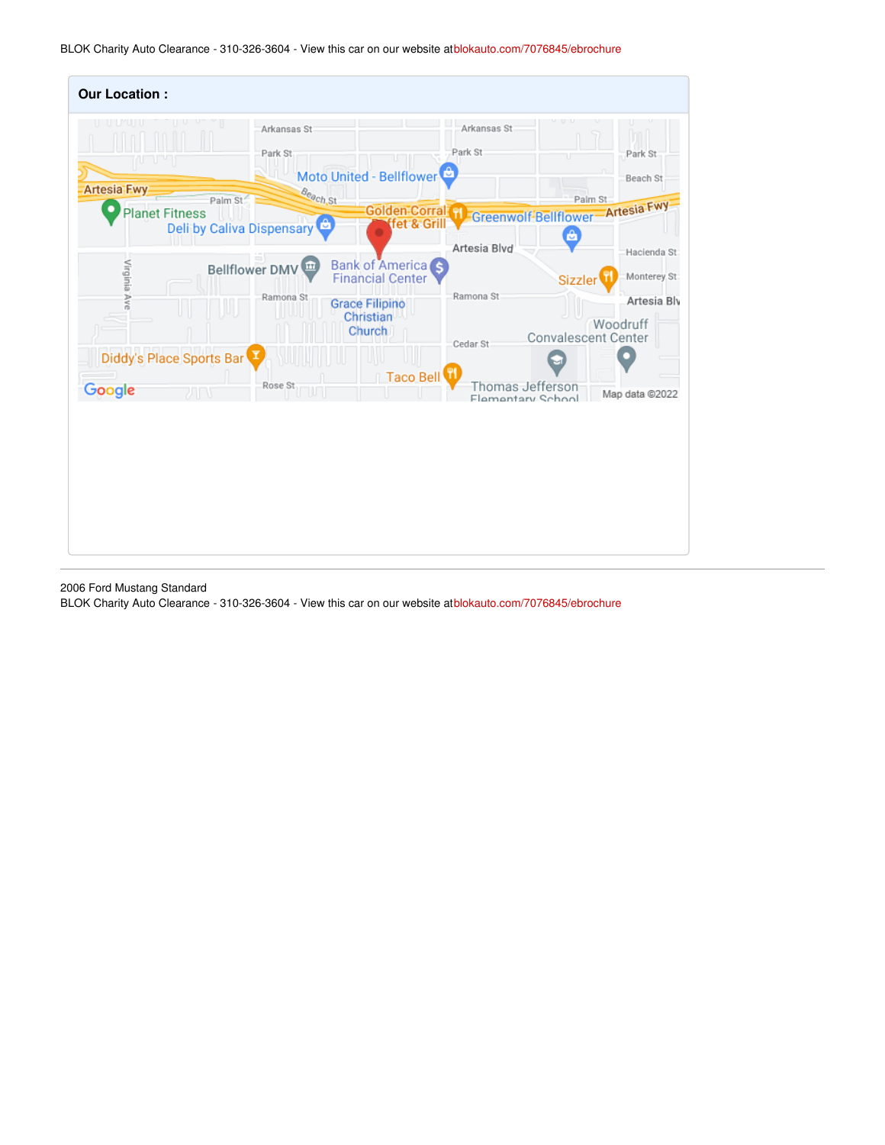BLOK Charity Auto Clearance - 310-326-3604 - View this car on our website at[blokauto.com/7076845/ebrochure](https://blokauto.com/vehicle/7076845/2006-ford-mustang-standard-bellflower-california-90706/7076845/ebrochure)

| <b>Our Location:</b>                        |                           |                                              |                                       |                                                       |
|---------------------------------------------|---------------------------|----------------------------------------------|---------------------------------------|-------------------------------------------------------|
| nu u                                        | Arkansas St<br>Park St    | Moto United - Bellflower                     | Arkansas St<br>Park St<br>T           | Park St<br>Beach St                                   |
| <b>Artesia Fwy</b><br><b>Planet Fitness</b> | Beach St<br>Palm St       | <b>Golden Corral H</b>                       | Greenwolf-Bellflower-Artesia Fwy      | Palm St                                               |
|                                             | Deli by Caliva Dispensary | fet & Grill                                  |                                       | â                                                     |
|                                             |                           |                                              | Artesia Blvd                          | Hacienda St                                           |
| Virginia Ave                                | Bellflower DMV            | Bank of America                              |                                       | Monterey St:<br>Sizzler                               |
|                                             | Ramona St                 | <b>Grace Filipino</b><br>Christian<br>Church | Ramona St                             | Artesia Bly<br>Woodruff<br><b>Convalescent Center</b> |
| Diddy's Place Sports Bar                    |                           |                                              | Cedar St                              |                                                       |
| Google                                      | Rose St<br>カロキ            | Taco Bell                                    | Thomas Jefferson<br>Flementary School | Map data @2022                                        |

2006 Ford Mustang Standard

BLOK Charity Auto Clearance - 310-326-3604 - View this car on our website at[blokauto.com/7076845/ebrochure](https://blokauto.com/vehicle/7076845/2006-ford-mustang-standard-bellflower-california-90706/7076845/ebrochure)